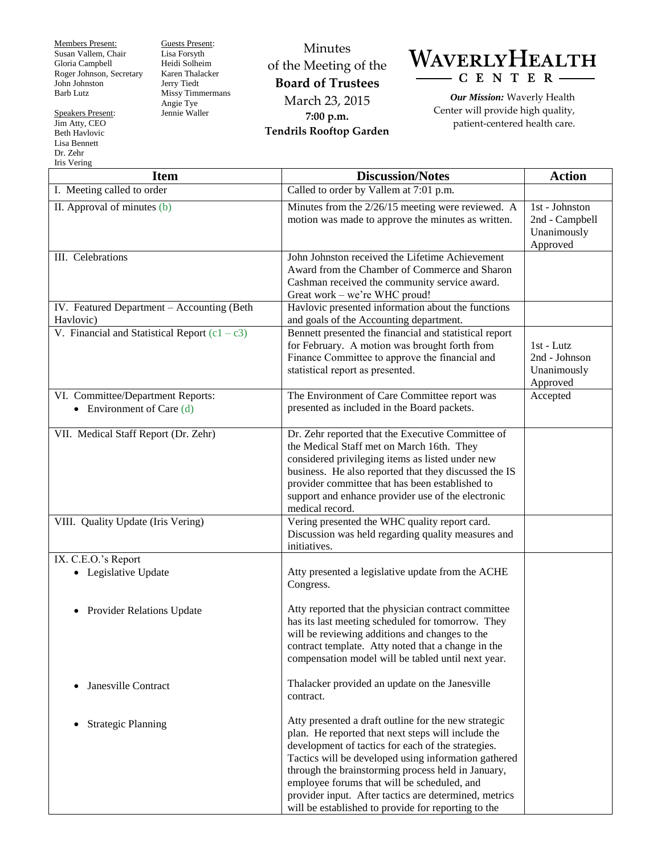Members Present: Susan Vallem, Chair Gloria Campbell Roger Johnson, Secretary John Johnston Barb Lutz

Speakers Present: Jim Atty, CEO Beth Havlovic Lisa Bennett Dr. Zehr

Guests Present: Lisa Forsyth Heidi Solheim Karen Thalacker Jerry Tiedt Missy Timmermans Angie Tye Jennie Waller

Minutes of the Meeting of the **Board of Trustees** March 23, 2015 **7:00 p.m. Tendrils Rooftop Garden**



*Our Mission:* Waverly Health Center will provide high quality, patient-centered health care.

| Iris Vering                                                      |                                                                                                                                                                                                                                                                                                                                                                                                                                               |                                                             |
|------------------------------------------------------------------|-----------------------------------------------------------------------------------------------------------------------------------------------------------------------------------------------------------------------------------------------------------------------------------------------------------------------------------------------------------------------------------------------------------------------------------------------|-------------------------------------------------------------|
| <b>Item</b>                                                      | <b>Discussion/Notes</b>                                                                                                                                                                                                                                                                                                                                                                                                                       | <b>Action</b>                                               |
| I. Meeting called to order                                       | Called to order by Vallem at 7:01 p.m.                                                                                                                                                                                                                                                                                                                                                                                                        |                                                             |
| II. Approval of minutes (b)                                      | Minutes from the 2/26/15 meeting were reviewed. A<br>motion was made to approve the minutes as written.                                                                                                                                                                                                                                                                                                                                       | 1st - Johnston<br>2nd - Campbell<br>Unanimously<br>Approved |
| III. Celebrations                                                | John Johnston received the Lifetime Achievement<br>Award from the Chamber of Commerce and Sharon<br>Cashman received the community service award.<br>Great work - we're WHC proud!                                                                                                                                                                                                                                                            |                                                             |
| IV. Featured Department - Accounting (Beth<br>Havlovic)          | Havlovic presented information about the functions<br>and goals of the Accounting department.                                                                                                                                                                                                                                                                                                                                                 |                                                             |
| V. Financial and Statistical Report $(c1 - c3)$                  | Bennett presented the financial and statistical report<br>for February. A motion was brought forth from<br>Finance Committee to approve the financial and<br>statistical report as presented.                                                                                                                                                                                                                                                 | 1st - Lutz<br>2nd - Johnson<br>Unanimously<br>Approved      |
| VI. Committee/Department Reports:<br>• Environment of Care $(d)$ | The Environment of Care Committee report was<br>presented as included in the Board packets.                                                                                                                                                                                                                                                                                                                                                   | Accepted                                                    |
| VII. Medical Staff Report (Dr. Zehr)                             | Dr. Zehr reported that the Executive Committee of<br>the Medical Staff met on March 16th. They<br>considered privileging items as listed under new<br>business. He also reported that they discussed the IS<br>provider committee that has been established to<br>support and enhance provider use of the electronic<br>medical record.                                                                                                       |                                                             |
| VIII. Quality Update (Iris Vering)                               | Vering presented the WHC quality report card.<br>Discussion was held regarding quality measures and<br>initiatives.                                                                                                                                                                                                                                                                                                                           |                                                             |
| IX. C.E.O.'s Report<br>Legislative Update                        | Atty presented a legislative update from the ACHE<br>Congress.                                                                                                                                                                                                                                                                                                                                                                                |                                                             |
| <b>Provider Relations Update</b><br>$\bullet$                    | Atty reported that the physician contract committee<br>has its last meeting scheduled for tomorrow. They<br>will be reviewing additions and changes to the<br>contract template. Atty noted that a change in the<br>compensation model will be tabled until next year.                                                                                                                                                                        |                                                             |
| Janesville Contract<br>$\bullet$                                 | Thalacker provided an update on the Janesville<br>contract.                                                                                                                                                                                                                                                                                                                                                                                   |                                                             |
| <b>Strategic Planning</b><br>$\bullet$                           | Atty presented a draft outline for the new strategic<br>plan. He reported that next steps will include the<br>development of tactics for each of the strategies.<br>Tactics will be developed using information gathered<br>through the brainstorming process held in January,<br>employee forums that will be scheduled, and<br>provider input. After tactics are determined, metrics<br>will be established to provide for reporting to the |                                                             |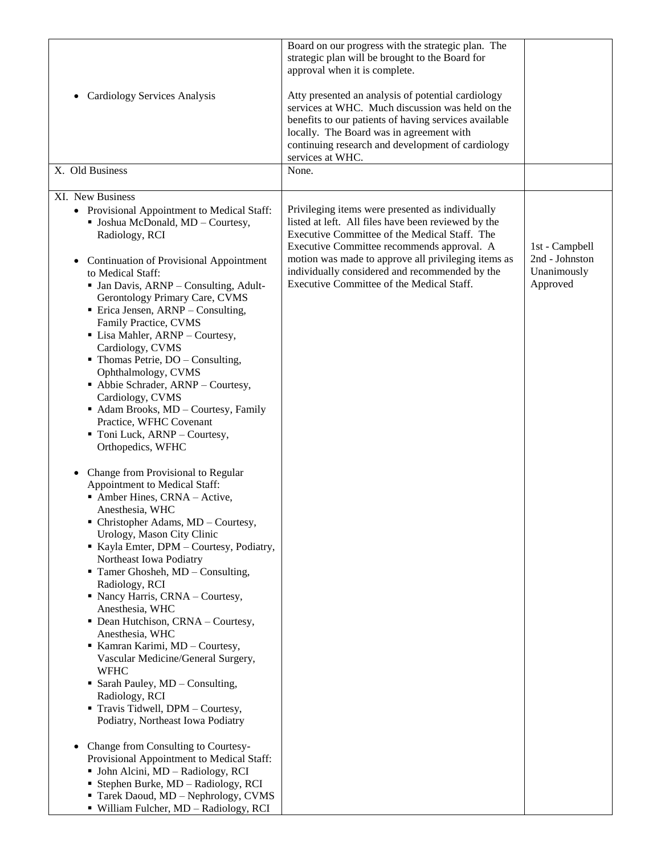| <b>Cardiology Services Analysis</b><br>$\bullet$                                                                                                                                                                                                                                                                                                                                                                                                                                                                                                                                                                                                                                                                                                                                                                                                                                                                                                                                                                                                                                                                                                                                                                                                                                                                                                                                                                                                                                     | Board on our progress with the strategic plan. The<br>strategic plan will be brought to the Board for<br>approval when it is complete.<br>Atty presented an analysis of potential cardiology<br>services at WHC. Much discussion was held on the<br>benefits to our patients of having services available<br>locally. The Board was in agreement with<br>continuing research and development of cardiology<br>services at WHC. |                                                             |
|--------------------------------------------------------------------------------------------------------------------------------------------------------------------------------------------------------------------------------------------------------------------------------------------------------------------------------------------------------------------------------------------------------------------------------------------------------------------------------------------------------------------------------------------------------------------------------------------------------------------------------------------------------------------------------------------------------------------------------------------------------------------------------------------------------------------------------------------------------------------------------------------------------------------------------------------------------------------------------------------------------------------------------------------------------------------------------------------------------------------------------------------------------------------------------------------------------------------------------------------------------------------------------------------------------------------------------------------------------------------------------------------------------------------------------------------------------------------------------------|--------------------------------------------------------------------------------------------------------------------------------------------------------------------------------------------------------------------------------------------------------------------------------------------------------------------------------------------------------------------------------------------------------------------------------|-------------------------------------------------------------|
| X. Old Business                                                                                                                                                                                                                                                                                                                                                                                                                                                                                                                                                                                                                                                                                                                                                                                                                                                                                                                                                                                                                                                                                                                                                                                                                                                                                                                                                                                                                                                                      | None.                                                                                                                                                                                                                                                                                                                                                                                                                          |                                                             |
| XI. New Business<br>• Provisional Appointment to Medical Staff:<br>• Joshua McDonald, MD - Courtesy,<br>Radiology, RCI<br><b>Continuation of Provisional Appointment</b><br>$\bullet$<br>to Medical Staff:<br>• Jan Davis, ARNP - Consulting, Adult-<br>Gerontology Primary Care, CVMS<br>$\blacksquare$ Erica Jensen, ARNP – Consulting,<br>Family Practice, CVMS<br>• Lisa Mahler, ARNP - Courtesy,<br>Cardiology, CVMS<br>$\blacksquare$ Thomas Petrie, DO – Consulting,<br>Ophthalmology, CVMS<br>• Abbie Schrader, ARNP - Courtesy,<br>Cardiology, CVMS<br>Adam Brooks, MD - Courtesy, Family<br>Practice, WFHC Covenant<br>Toni Luck, ARNP - Courtesy,<br>Orthopedics, WFHC<br>Change from Provisional to Regular<br>Appointment to Medical Staff:<br>Amber Hines, CRNA - Active,<br>Anesthesia, WHC<br>• Christopher Adams, MD – Courtesy,<br>Urology, Mason City Clinic<br>Kayla Emter, DPM - Courtesy, Podiatry,<br>Northeast Iowa Podiatry<br>$\blacksquare$ Tamer Ghosheh, MD – Consulting,<br>Radiology, RCI<br>Nancy Harris, CRNA - Courtesy,<br>Anesthesia, WHC<br>• Dean Hutchison, CRNA - Courtesy,<br>Anesthesia, WHC<br>Kamran Karimi, MD - Courtesy,<br>Vascular Medicine/General Surgery,<br><b>WFHC</b><br>• Sarah Pauley, MD - Consulting,<br>Radiology, RCI<br>Travis Tidwell, DPM - Courtesy,<br>Podiatry, Northeast Iowa Podiatry<br>Change from Consulting to Courtesy-<br>Provisional Appointment to Medical Staff:<br>• John Alcini, MD - Radiology, RCI | Privileging items were presented as individually<br>listed at left. All files have been reviewed by the<br>Executive Committee of the Medical Staff. The<br>Executive Committee recommends approval. A<br>motion was made to approve all privileging items as<br>individually considered and recommended by the<br>Executive Committee of the Medical Staff.                                                                   | 1st - Campbell<br>2nd - Johnston<br>Unanimously<br>Approved |
| Stephen Burke, MD - Radiology, RCI<br>Tarek Daoud, MD - Nephrology, CVMS<br>• William Fulcher, MD - Radiology, RCI                                                                                                                                                                                                                                                                                                                                                                                                                                                                                                                                                                                                                                                                                                                                                                                                                                                                                                                                                                                                                                                                                                                                                                                                                                                                                                                                                                   |                                                                                                                                                                                                                                                                                                                                                                                                                                |                                                             |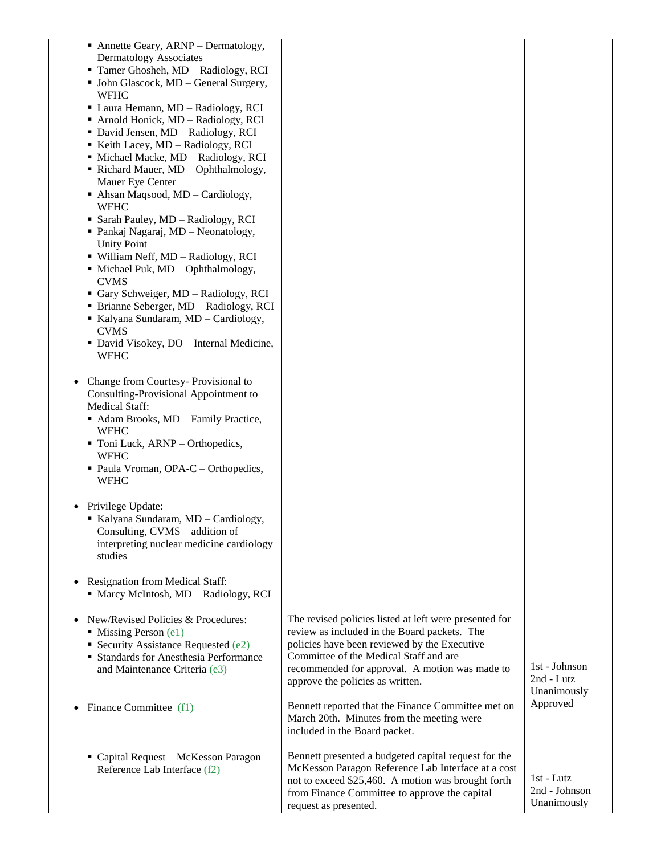| • Annette Geary, ARNP – Dermatology,<br>Dermatology Associates<br>Tamer Ghosheh, MD - Radiology, RCI<br>• John Glascock, MD - General Surgery,<br><b>WFHC</b><br>• Laura Hemann, MD - Radiology, RCI<br>Arnold Honick, MD - Radiology, RCI<br>• David Jensen, MD - Radiology, RCI<br>Keith Lacey, MD - Radiology, RCI<br>• Michael Macke, MD - Radiology, RCI<br>Richard Mauer, MD - Ophthalmology,<br>Mauer Eye Center<br>Ahsan Maqsood, MD - Cardiology,<br><b>WFHC</b><br>• Sarah Pauley, MD - Radiology, RCI<br>• Pankaj Nagaraj, MD – Neonatology,<br><b>Unity Point</b><br>• William Neff, MD - Radiology, RCI<br>$\blacksquare$ Michael Puk, MD – Ophthalmology,<br><b>CVMS</b><br>Gary Schweiger, MD - Radiology, RCI<br>• Brianne Seberger, MD – Radiology, RCI<br>Kalyana Sundaram, MD - Cardiology,<br><b>CVMS</b> |                                                                                                                                                                                                                                                                                        |                                              |
|-------------------------------------------------------------------------------------------------------------------------------------------------------------------------------------------------------------------------------------------------------------------------------------------------------------------------------------------------------------------------------------------------------------------------------------------------------------------------------------------------------------------------------------------------------------------------------------------------------------------------------------------------------------------------------------------------------------------------------------------------------------------------------------------------------------------------------|----------------------------------------------------------------------------------------------------------------------------------------------------------------------------------------------------------------------------------------------------------------------------------------|----------------------------------------------|
| • David Visokey, DO - Internal Medicine,<br><b>WFHC</b>                                                                                                                                                                                                                                                                                                                                                                                                                                                                                                                                                                                                                                                                                                                                                                       |                                                                                                                                                                                                                                                                                        |                                              |
|                                                                                                                                                                                                                                                                                                                                                                                                                                                                                                                                                                                                                                                                                                                                                                                                                               |                                                                                                                                                                                                                                                                                        |                                              |
| Change from Courtesy-Provisional to<br>Consulting-Provisional Appointment to<br><b>Medical Staff:</b><br>• Adam Brooks, MD - Family Practice,                                                                                                                                                                                                                                                                                                                                                                                                                                                                                                                                                                                                                                                                                 |                                                                                                                                                                                                                                                                                        |                                              |
| <b>WFHC</b><br>• Toni Luck, ARNP - Orthopedics,                                                                                                                                                                                                                                                                                                                                                                                                                                                                                                                                                                                                                                                                                                                                                                               |                                                                                                                                                                                                                                                                                        |                                              |
| <b>WFHC</b><br>• Paula Vroman, OPA-C – Orthopedics,<br><b>WFHC</b>                                                                                                                                                                                                                                                                                                                                                                                                                                                                                                                                                                                                                                                                                                                                                            |                                                                                                                                                                                                                                                                                        |                                              |
| Privilege Update:<br>Kalyana Sundaram, MD - Cardiology,<br>Consulting, CVMS – addition of<br>interpreting nuclear medicine cardiology<br>studies                                                                                                                                                                                                                                                                                                                                                                                                                                                                                                                                                                                                                                                                              |                                                                                                                                                                                                                                                                                        |                                              |
| Resignation from Medical Staff:<br>• Marcy McIntosh, MD - Radiology, RCI                                                                                                                                                                                                                                                                                                                                                                                                                                                                                                                                                                                                                                                                                                                                                      |                                                                                                                                                                                                                                                                                        |                                              |
| New/Revised Policies & Procedures:<br>$\blacksquare$ Missing Person (e1)<br>Security Assistance Requested $(e2)$<br>• Standards for Anesthesia Performance<br>and Maintenance Criteria (e3)                                                                                                                                                                                                                                                                                                                                                                                                                                                                                                                                                                                                                                   | The revised policies listed at left were presented for<br>review as included in the Board packets. The<br>policies have been reviewed by the Executive<br>Committee of the Medical Staff and are<br>recommended for approval. A motion was made to<br>approve the policies as written. | 1st - Johnson<br>2nd - Lutz<br>Unanimously   |
| Finance Committee (f1)                                                                                                                                                                                                                                                                                                                                                                                                                                                                                                                                                                                                                                                                                                                                                                                                        | Bennett reported that the Finance Committee met on<br>March 20th. Minutes from the meeting were<br>included in the Board packet.                                                                                                                                                       | Approved                                     |
| • Capital Request - McKesson Paragon<br>Reference Lab Interface (f2)                                                                                                                                                                                                                                                                                                                                                                                                                                                                                                                                                                                                                                                                                                                                                          | Bennett presented a budgeted capital request for the<br>McKesson Paragon Reference Lab Interface at a cost<br>not to exceed \$25,460. A motion was brought forth<br>from Finance Committee to approve the capital<br>request as presented.                                             | $1st$ - Lutz<br>2nd - Johnson<br>Unanimously |